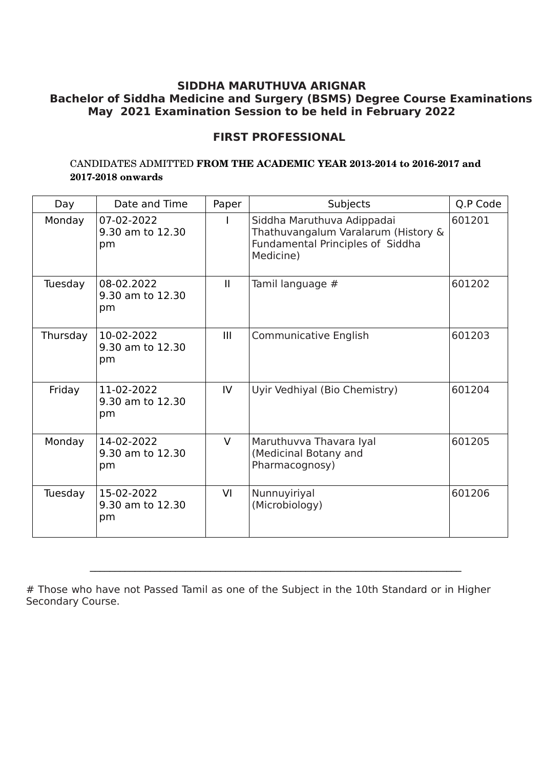## **FIRST PROFESSIONAL**

### CANDIDATES ADMITTED FROM THE ACADEMIC YEAR 2013-2014 to 2016-2017 and  **20172018 onwards**

| Day      | Date and Time                        | Paper        | Subjects                                                                                                           | Q.P Code |
|----------|--------------------------------------|--------------|--------------------------------------------------------------------------------------------------------------------|----------|
| Monday   | 07-02-2022<br>9.30 am to 12.30<br>pm |              | Siddha Maruthuva Adippadai<br>Thathuvangalum Varalarum (History &<br>Fundamental Principles of Siddha<br>Medicine) | 601201   |
| Tuesday  | 08-02.2022<br>9.30 am to 12.30<br>pm | $\mathbf{H}$ | Tamil language #                                                                                                   | 601202   |
| Thursday | 10-02-2022<br>9.30 am to 12.30<br>pm | III          | <b>Communicative English</b>                                                                                       | 601203   |
| Friday   | 11-02-2022<br>9.30 am to 12.30<br>pm | IV           | Uyir Vedhiyal (Bio Chemistry)                                                                                      | 601204   |
| Monday   | 14-02-2022<br>9.30 am to 12.30<br>pm | $\vee$       | Maruthuvva Thavara Iyal<br>(Medicinal Botany and<br>Pharmacognosy)                                                 | 601205   |
| Tuesday  | 15-02-2022<br>9.30 am to 12.30<br>pm | VI           | Nunnuyiriyal<br>(Microbiology)                                                                                     | 601206   |

\_\_\_\_\_\_\_\_\_\_\_\_\_\_\_\_\_\_\_\_\_\_\_\_\_\_\_\_\_\_\_\_\_\_\_\_\_\_\_\_\_\_\_\_\_\_\_\_\_\_\_\_\_\_\_\_\_\_\_\_\_\_\_\_\_\_\_\_\_\_\_\_\_\_

<sup>#</sup> Those who have not Passed Tamil as one of the Subject in the 10th Standard or in Higher Secondary Course.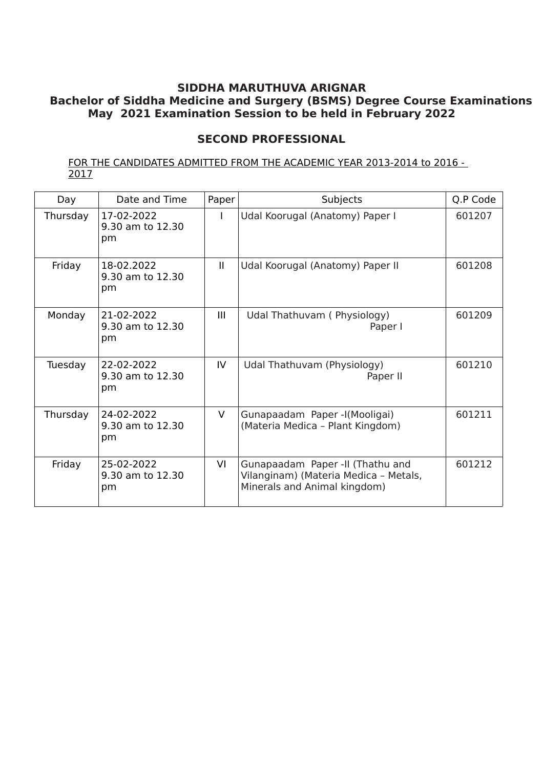# **SECOND PROFESSIONAL**

FOR THE CANDIDATES ADMITTED FROM THE ACADEMIC YEAR 2013-2014 to 2016 - 2017

| Day      | Date and Time                        | Paper        | Subjects                                                                                                  | Q.P Code |
|----------|--------------------------------------|--------------|-----------------------------------------------------------------------------------------------------------|----------|
| Thursday | 17-02-2022<br>9.30 am to 12.30<br>pm |              | Udal Koorugal (Anatomy) Paper I                                                                           | 601207   |
| Friday   | 18-02.2022<br>9.30 am to 12.30<br>pm | $\mathbf{H}$ | Udal Koorugal (Anatomy) Paper II                                                                          | 601208   |
| Monday   | 21-02-2022<br>9.30 am to 12.30<br>pm | Ш            | Udal Thathuvam (Physiology)<br>Paper I                                                                    | 601209   |
| Tuesday  | 22-02-2022<br>9.30 am to 12.30<br>pm | IV           | Udal Thathuvam (Physiology)<br>Paper II                                                                   | 601210   |
| Thursday | 24-02-2022<br>9.30 am to 12.30<br>pm | $\vee$       | Gunapaadam Paper-I(Mooligai)<br>(Materia Medica - Plant Kingdom)                                          | 601211   |
| Friday   | 25-02-2022<br>9.30 am to 12.30<br>pm | VI           | Gunapaadam Paper -II (Thathu and<br>Vilanginam) (Materia Medica - Metals,<br>Minerals and Animal kingdom) | 601212   |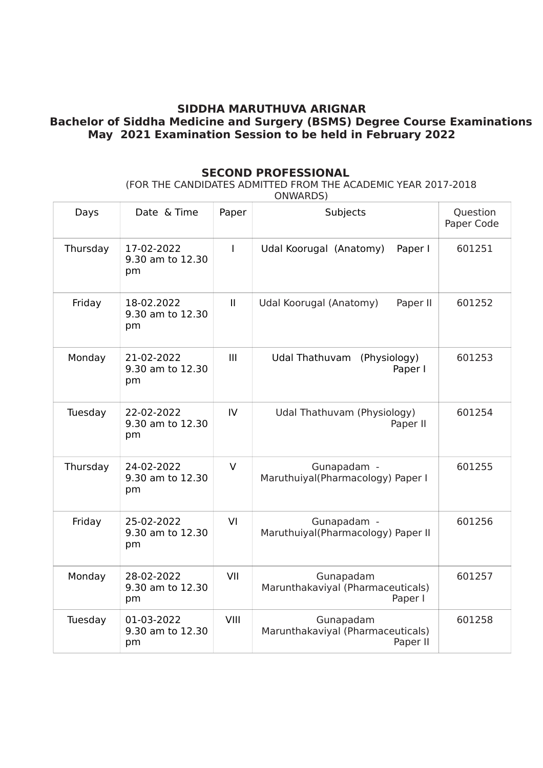### **SECOND PROFESSIONAL**

(FOR THE CANDIDATES ADMITTED FROM THE ACADEMIC YEAR 2017-2018

ONWARDS)

| Days     | Date & Time                          | Paper         | Subjects                                                   | <b>Question</b><br>Paper Code |
|----------|--------------------------------------|---------------|------------------------------------------------------------|-------------------------------|
| Thursday | 17-02-2022<br>9.30 am to 12.30<br>pm | T             | Paper I<br>Udal Koorugal (Anatomy)                         | 601251                        |
| Friday   | 18-02.2022<br>9.30 am to 12.30<br>pm | $\mathbf{I}$  | Udal Koorugal (Anatomy)<br>Paper II                        | 601252                        |
| Monday   | 21-02-2022<br>9.30 am to 12.30<br>pm | III           | Udal Thathuvam<br>(Physiology)<br>Paper I                  | 601253                        |
| Tuesday  | 22-02-2022<br>9.30 am to 12.30<br>pm | $\mathsf{IV}$ | Udal Thathuvam (Physiology)<br>Paper II                    | 601254                        |
| Thursday | 24-02-2022<br>9.30 am to 12.30<br>pm | $\vee$        | Gunapadam -<br>Maruthuiyal(Pharmacology) Paper I           | 601255                        |
| Friday   | 25-02-2022<br>9.30 am to 12.30<br>pm | VI            | Gunapadam -<br>Maruthuiyal(Pharmacology) Paper II          | 601256                        |
| Monday   | 28-02-2022<br>9.30 am to 12.30<br>pm | VII           | Gunapadam<br>Marunthakaviyal (Pharmaceuticals)<br>Paper I  | 601257                        |
| Tuesday  | 01-03-2022<br>9.30 am to 12.30<br>pm | VIII          | Gunapadam<br>Marunthakaviyal (Pharmaceuticals)<br>Paper II | 601258                        |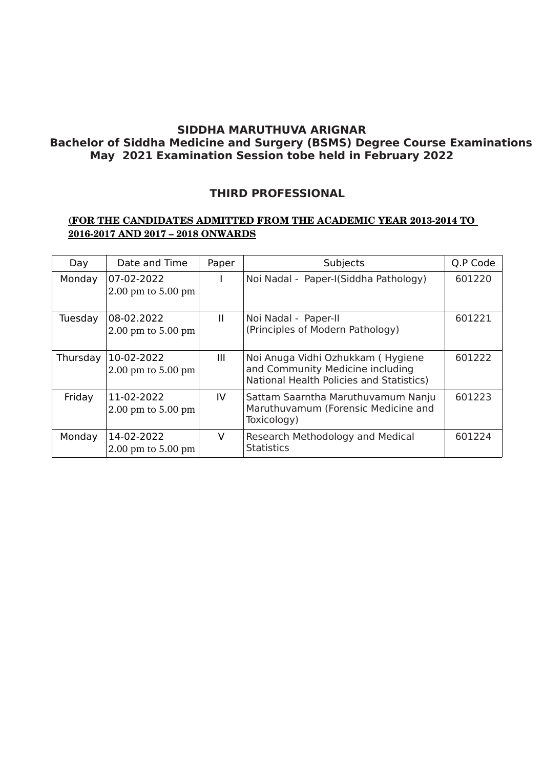## **THIRD PROFESSIONAL**

### **(FOR THE CANDIDATES ADMITTED FROM THE ACADEMIC YEAR 20132014 TO 20162017 AND 2017 – 2018 ONWARDS**

| Day      | Date and Time                        | Paper | Subjects                                                                                                          | Q.P Code |
|----------|--------------------------------------|-------|-------------------------------------------------------------------------------------------------------------------|----------|
| Monday   | 07-02-2022<br>$2.00$ pm to $5.00$ pm |       | Noi Nadal - Paper-I(Siddha Pathology)                                                                             | 601220   |
| Tuesday  | 08-02.2022<br>$2.00$ pm to $5.00$ pm | Ш     | Noi Nadal - Paper-II<br>(Principles of Modern Pathology)                                                          | 601221   |
| Thursday | 10-02-2022<br>$2.00$ pm to $5.00$ pm | Ш     | Noi Anuga Vidhi Ozhukkam (Hygiene<br>and Community Medicine including<br>National Health Policies and Statistics) | 601222   |
| Friday   | 11-02-2022<br>$2.00$ pm to $5.00$ pm | IV    | Sattam Saarntha Maruthuvamum Nanju<br>Maruthuvamum (Forensic Medicine and<br>Toxicology)                          | 601223   |
| Monday   | 14-02-2022<br>$2.00$ pm to $5.00$ pm | V     | Research Methodology and Medical<br><b>Statistics</b>                                                             | 601224   |